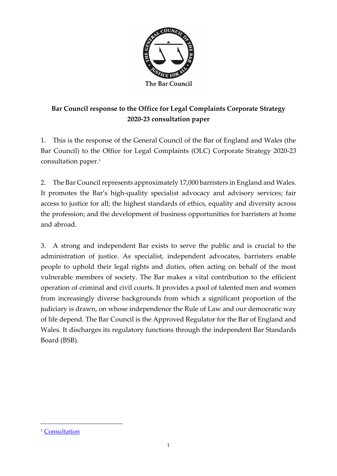

# **Bar Council response to the Office for Legal Complaints Corporate Strategy 2020-23 consultation paper**

1. This is the response of the General Council of the Bar of England and Wales (the Bar Council) to the Office for Legal Complaints (OLC) Corporate Strategy 2020-23 consultation paper. 1

2. The Bar Council represents approximately 17,000 barristers in England and Wales. It promotes the Bar's high-quality specialist advocacy and advisory services; fair access to justice for all; the highest standards of ethics, equality and diversity across the profession; and the development of business opportunities for barristers at home and abroad.

3. A strong and independent Bar exists to serve the public and is crucial to the administration of justice. As specialist, independent advocates, barristers enable people to uphold their legal rights and duties, often acting on behalf of the most vulnerable members of society. The Bar makes a vital contribution to the efficient operation of criminal and civil courts. It provides a pool of talented men and women from increasingly diverse backgrounds from which a significant proportion of the judiciary is drawn, on whose independence the Rule of Law and our democratic way of life depend. The Bar Council is the Approved Regulator for the Bar of England and Wales. It discharges its regulatory functions through the independent Bar Standards Board (BSB).

<sup>&</sup>lt;sup>1</sup> [Consultation](https://www.legalombudsman.org.uk/wp-content/uploads/2019/12/FINAL-STRATEGY-2020-23-Consultation.pdf)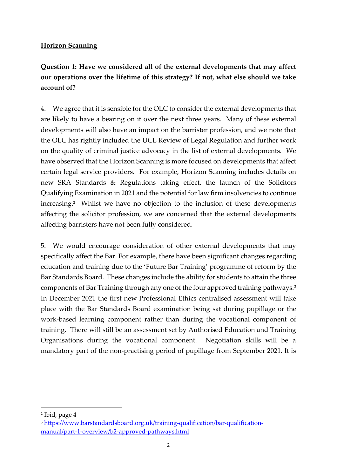#### **Horizon Scanning**

# **Question 1: Have we considered all of the external developments that may affect our operations over the lifetime of this strategy? If not, what else should we take account of?**

4. We agree that it is sensible for the OLC to consider the external developments that are likely to have a bearing on it over the next three years. Many of these external developments will also have an impact on the barrister profession, and we note that the OLC has rightly included the UCL Review of Legal Regulation and further work on the quality of criminal justice advocacy in the list of external developments. We have observed that the Horizon Scanning is more focused on developments that affect certain legal service providers. For example, Horizon Scanning includes details on new SRA Standards & Regulations taking effect, the launch of the Solicitors Qualifying Examination in 2021 and the potential for law firm insolvencies to continue increasing.<sup>2</sup> Whilst we have no objection to the inclusion of these developments affecting the solicitor profession, we are concerned that the external developments affecting barristers have not been fully considered.

5. We would encourage consideration of other external developments that may specifically affect the Bar. For example, there have been significant changes regarding education and training due to the 'Future Bar Training' programme of reform by the Bar Standards Board. These changes include the ability for students to attain the three components of Bar Training through any one of the four approved training pathways. $^3$ In December 2021 the first new Professional Ethics centralised assessment will take place with the Bar Standards Board examination being sat during pupillage or the work-based learning component rather than during the vocational component of training. There will still be an assessment set by Authorised Education and Training Organisations during the vocational component. Negotiation skills will be a mandatory part of the non-practising period of pupillage from September 2021. It is

<sup>2</sup> Ibid, page 4

<sup>3</sup> [https://www.barstandardsboard.org.uk/training-qualification/bar-qualification](https://www.barstandardsboard.org.uk/training-qualification/bar-qualification-manual/part-1-overview/b2-approved-pathways.html)[manual/part-1-overview/b2-approved-pathways.html](https://www.barstandardsboard.org.uk/training-qualification/bar-qualification-manual/part-1-overview/b2-approved-pathways.html)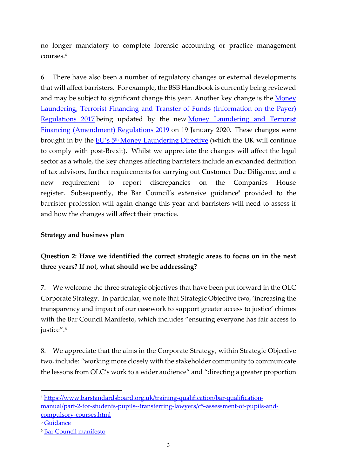no longer mandatory to complete forensic accounting or practice management courses.<sup>4</sup>

6. There have also been a number of regulatory changes or external developments that will affect barristers. For example, the BSB Handbook is currently being reviewed and may be subject to significant change this year. Another key change is the Money [Laundering, Terrorist Financing and Transfer of Funds \(Information on the Payer\)](http://www.legislation.gov.uk/uksi/2017/692/contents/made)  [Regulations 2017](http://www.legislation.gov.uk/uksi/2017/692/contents/made) being updated by the new Money Laundering and Terrorist [Financing \(Amendment\) Regulations 2019](http://www.legislation.gov.uk/uksi/2019/1511/contents/made) on 19 January 2020*.* These changes were brought in by the EU's 5<sup>th</sup> [Money Laundering Directive](https://eur-lex.europa.eu/legal-content/EN/TXT/?uri=CELEX:32018L0843) (which the UK will continue to comply with post-Brexit). Whilst we appreciate the changes will affect the legal sector as a whole, the key changes affecting barristers include an expanded definition of tax advisors, further requirements for carrying out Customer Due Diligence, and a new requirement to report discrepancies on the Companies House register. Subsequently, the Bar Council's extensive guidance<sup>5</sup> provided to the barrister profession will again change this year and barristers will need to assess if and how the changes will affect their practice.

### **Strategy and business plan**

## **Question 2: Have we identified the correct strategic areas to focus on in the next three years? If not, what should we be addressing?**

7. We welcome the three strategic objectives that have been put forward in the OLC Corporate Strategy. In particular, we note that Strategic Objective two, 'increasing the transparency and impact of our casework to support greater access to justice' chimes with the Bar Council Manifesto, which includes "ensuring everyone has fair access to justice".<sup>6</sup>

8. We appreciate that the aims in the Corporate Strategy, within Strategic Objective two, include: *"*working more closely with the stakeholder community to communicate the lessons from OLC's work to a wider audience" and "directing a greater proportion

<sup>4</sup> [https://www.barstandardsboard.org.uk/training-qualification/bar-qualification](https://www.barstandardsboard.org.uk/training-qualification/bar-qualification-manual/part-2-for-students-pupils--transferring-lawyers/c5-assessment-of-pupils-and-compulsory-courses.html)[manual/part-2-for-students-pupils--transferring-lawyers/c5-assessment-of-pupils-and](https://www.barstandardsboard.org.uk/training-qualification/bar-qualification-manual/part-2-for-students-pupils--transferring-lawyers/c5-assessment-of-pupils-and-compulsory-courses.html)[compulsory-courses.html](https://www.barstandardsboard.org.uk/training-qualification/bar-qualification-manual/part-2-for-students-pupils--transferring-lawyers/c5-assessment-of-pupils-and-compulsory-courses.html)

<sup>5</sup> [Guidance](https://www.barcouncilethics.co.uk/wp-content/uploads/2017/10/Money-Laundering-and-Terrorist-Financing-updated-20182.pdf)

<sup>6</sup> [Bar Council manifesto](http://downloads2.dodsmonitoring.com/downloads/Roisin%20%5BTemporary%20-%20July%5D/Bar%20Council%20Manifesto%202019%20digital%20brochure.pdf)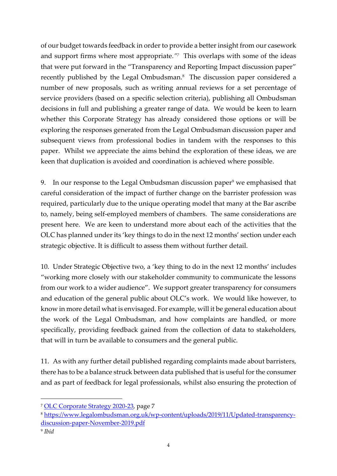of our budget towards feedback in order to provide a better insight from our casework and support firms where most appropriate*." 7* This overlaps with some of the ideas that were put forward in the "Transparency and Reporting Impact discussion paper" recently published by the Legal Ombudsman.<sup>8</sup> The discussion paper considered a number of new proposals, such as writing annual reviews for a set percentage of service providers (based on a specific selection criteria), publishing all Ombudsman decisions in full and publishing a greater range of data. We would be keen to learn whether this Corporate Strategy has already considered those options or will be exploring the responses generated from the Legal Ombudsman discussion paper and subsequent views from professional bodies in tandem with the responses to this paper. Whilst we appreciate the aims behind the exploration of these ideas, we are keen that duplication is avoided and coordination is achieved where possible.

9. In our response to the Legal Ombudsman discussion paper<sup>9</sup> we emphasised that careful consideration of the impact of further change on the barrister profession was required, particularly due to the unique operating model that many at the Bar ascribe to, namely, being self-employed members of chambers. The same considerations are present here. We are keen to understand more about each of the activities that the OLC has planned under its 'key things to do in the next 12 months' section under each strategic objective. It is difficult to assess them without further detail.

10. Under Strategic Objective two, a 'key thing to do in the next 12 months' includes "working more closely with our stakeholder community to communicate the lessons from our work to a wider audience". We support greater transparency for consumers and education of the general public about OLC's work. We would like however, to know in more detail what is envisaged. For example, will it be general education about the work of the Legal Ombudsman, and how complaints are handled, or more specifically, providing feedback gained from the collection of data to stakeholders, that will in turn be available to consumers and the general public.

11. As with any further detail published regarding complaints made about barristers, there has to be a balance struck between data published that is useful for the consumer and as part of feedback for legal professionals, whilst also ensuring the protection of

<sup>7</sup> [OLC Corporate Strategy 2020-23,](https://www.legalombudsman.org.uk/wp-content/uploads/2019/12/FINAL-STRATEGY-2020-23-Consultation.pdf) page 7

<sup>8</sup> [https://www.legalombudsman.org.uk/wp-content/uploads/2019/11/Updated-transparency](https://www.legalombudsman.org.uk/wp-content/uploads/2019/11/Updated-transparency-discussion-paper-November-2019.pdf)[discussion-paper-November-2019.pdf](https://www.legalombudsman.org.uk/wp-content/uploads/2019/11/Updated-transparency-discussion-paper-November-2019.pdf)

<sup>9</sup> *Ibid*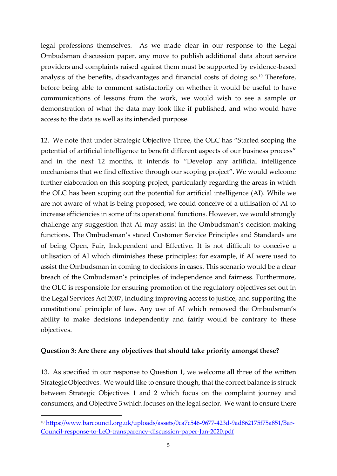legal professions themselves. As we made clear in our response to the Legal Ombudsman discussion paper, any move to publish additional data about service providers and complaints raised against them must be supported by evidence-based analysis of the benefits, disadvantages and financial costs of doing so.<sup>10</sup> Therefore, before being able to comment satisfactorily on whether it would be useful to have communications of lessons from the work, we would wish to see a sample or demonstration of what the data may look like if published, and who would have access to the data as well as its intended purpose.

12. We note that under Strategic Objective Three, the OLC has "Started scoping the potential of artificial intelligence to benefit different aspects of our business process" and in the next 12 months, it intends to "Develop any artificial intelligence mechanisms that we find effective through our scoping project". We would welcome further elaboration on this scoping project, particularly regarding the areas in which the OLC has been scoping out the potential for artificial intelligence (AI). While we are not aware of what is being proposed, we could conceive of a utilisation of AI to increase efficiencies in some of its operational functions. However, we would strongly challenge any suggestion that AI may assist in the Ombudsman's decision-making functions. The Ombudsman's stated Customer Service Principles and Standards are of being Open, Fair, Independent and Effective. It is not difficult to conceive a utilisation of AI which diminishes these principles; for example, if AI were used to assist the Ombudsman in coming to decisions in cases. This scenario would be a clear breach of the Ombudsman's principles of independence and fairness. Furthermore, the OLC is responsible for ensuring promotion of the regulatory objectives set out in the Legal Services Act 2007, including improving access to justice, and supporting the constitutional principle of law. Any use of AI which removed the Ombudsman's ability to make decisions independently and fairly would be contrary to these objectives.

#### **Question 3: Are there any objectives that should take priority amongst these?**

13. As specified in our response to Question 1, we welcome all three of the written Strategic Objectives. We would like to ensure though, that the correct balance is struck between Strategic Objectives 1 and 2 which focus on the complaint journey and consumers, and Objective 3 which focuses on the legal sector. We want to ensure there

<sup>10</sup> [https://www.barcouncil.org.uk/uploads/assets/0ca7c546-9677-423d-9ad862175f75a851/Bar-](https://www.barcouncil.org.uk/uploads/assets/0ca7c546-9677-423d-9ad862175f75a851/Bar-Council-response-to-LeO-transparency-discussion-paper-Jan-2020.pdf)[Council-response-to-LeO-transparency-discussion-paper-Jan-2020.pdf](https://www.barcouncil.org.uk/uploads/assets/0ca7c546-9677-423d-9ad862175f75a851/Bar-Council-response-to-LeO-transparency-discussion-paper-Jan-2020.pdf)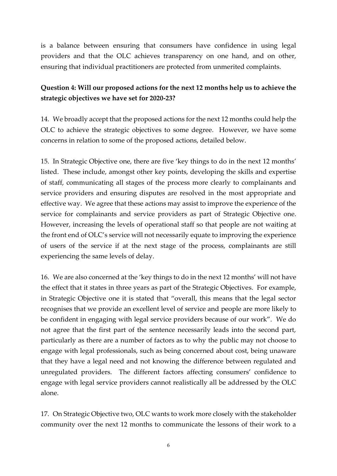is a balance between ensuring that consumers have confidence in using legal providers and that the OLC achieves transparency on one hand, and on other, ensuring that individual practitioners are protected from unmerited complaints.

### **Question 4: Will our proposed actions for the next 12 months help us to achieve the strategic objectives we have set for 2020-23?**

14. We broadly accept that the proposed actions for the next 12 months could help the OLC to achieve the strategic objectives to some degree. However, we have some concerns in relation to some of the proposed actions, detailed below.

15. In Strategic Objective one, there are five 'key things to do in the next 12 months' listed. These include, amongst other key points, developing the skills and expertise of staff, communicating all stages of the process more clearly to complainants and service providers and ensuring disputes are resolved in the most appropriate and effective way. We agree that these actions may assist to improve the experience of the service for complainants and service providers as part of Strategic Objective one. However, increasing the levels of operational staff so that people are not waiting at the front end of OLC's service will not necessarily equate to improving the experience of users of the service if at the next stage of the process, complainants are still experiencing the same levels of delay.

16. We are also concerned at the 'key things to do in the next 12 months' will not have the effect that it states in three years as part of the Strategic Objectives. For example, in Strategic Objective one it is stated that "overall, this means that the legal sector recognises that we provide an excellent level of service and people are more likely to be confident in engaging with legal service providers because of our work". We do not agree that the first part of the sentence necessarily leads into the second part, particularly as there are a number of factors as to why the public may not choose to engage with legal professionals, such as being concerned about cost, being unaware that they have a legal need and not knowing the difference between regulated and unregulated providers. The different factors affecting consumers' confidence to engage with legal service providers cannot realistically all be addressed by the OLC alone.

17. On Strategic Objective two, OLC wants to work more closely with the stakeholder community over the next 12 months to communicate the lessons of their work to a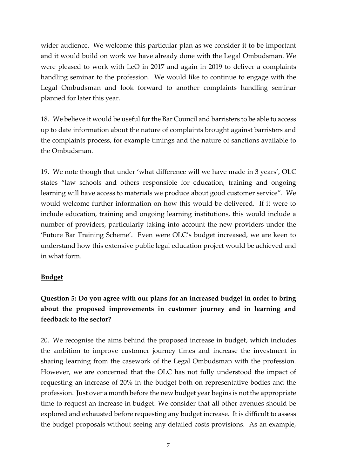wider audience. We welcome this particular plan as we consider it to be important and it would build on work we have already done with the Legal Ombudsman. We were pleased to work with LeO in 2017 and again in 2019 to deliver a complaints handling seminar to the profession. We would like to continue to engage with the Legal Ombudsman and look forward to another complaints handling seminar planned for later this year.

18. We believe it would be useful for the Bar Council and barristers to be able to access up to date information about the nature of complaints brought against barristers and the complaints process, for example timings and the nature of sanctions available to the Ombudsman.

19. We note though that under 'what difference will we have made in 3 years', OLC states "law schools and others responsible for education, training and ongoing learning will have access to materials we produce about good customer service". We would welcome further information on how this would be delivered. If it were to include education, training and ongoing learning institutions, this would include a number of providers, particularly taking into account the new providers under the 'Future Bar Training Scheme'. Even were OLC's budget increased, we are keen to understand how this extensive public legal education project would be achieved and in what form.

#### **Budget**

## **Question 5: Do you agree with our plans for an increased budget in order to bring about the proposed improvements in customer journey and in learning and feedback to the sector?**

20. We recognise the aims behind the proposed increase in budget, which includes the ambition to improve customer journey times and increase the investment in sharing learning from the casework of the Legal Ombudsman with the profession. However, we are concerned that the OLC has not fully understood the impact of requesting an increase of 20% in the budget both on representative bodies and the profession. Just over a month before the new budget year begins is not the appropriate time to request an increase in budget. We consider that all other avenues should be explored and exhausted before requesting any budget increase. It is difficult to assess the budget proposals without seeing any detailed costs provisions. As an example,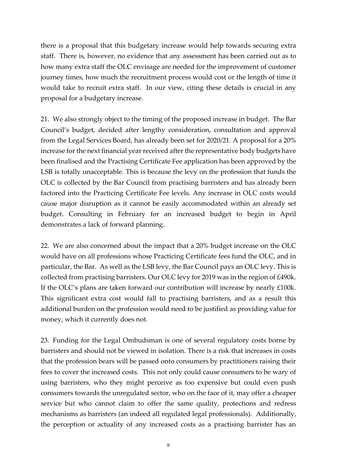there is a proposal that this budgetary increase would help towards securing extra staff. There is, however, no evidence that any assessment has been carried out as to how many extra staff the OLC envisage are needed for the improvement of customer journey times, how much the recruitment process would cost or the length of time it would take to recruit extra staff. In our view, citing these details is crucial in any proposal for a budgetary increase.

21. We also strongly object to the timing of the proposed increase in budget. The Bar Council's budget, decided after lengthy consideration, consultation and approval from the Legal Services Board, has already been set for 2020/21. A proposal for a 20% increase for the next financial year received after the representative body budgets have been finalised and the Practising Certificate Fee application has been approved by the LSB is totally unacceptable. This is because the levy on the profession that funds the OLC is collected by the Bar Council from practising barristers and has already been factored into the Practicing Certificate Fee levels. Any increase in OLC costs would cause major disruption as it cannot be easily accommodated within an already set budget. Consulting in February for an increased budget to begin in April demonstrates a lack of forward planning.

22. We are also concerned about the impact that a 20% budget increase on the OLC would have on all professions whose Practicing Certificate fees fund the OLC, and in particular, the Bar. As well as the LSB levy, the Bar Council pays an OLC levy. This is collected from practising barristers. Our OLC levy for 2019 was in the region of £490k. If the OLC's plans are taken forward our contribution will increase by nearly £100k. This significant extra cost would fall to practising barristers, and as a result this additional burden on the profession would need to be justified as providing value for money, which it currently does not.

23. Funding for the Legal Ombudsman is one of several regulatory costs borne by barristers and should not be viewed in isolation. There is a risk that increases in costs that the profession bears will be passed onto consumers by practitioners raising their fees to cover the increased costs. This not only could cause consumers to be wary of using barristers, who they might perceive as too expensive but could even push consumers towards the unregulated sector, who on the face of it, may offer a cheaper service but who cannot claim to offer the same quality, protections and redress mechanisms as barristers (an indeed all regulated legal professionals). Additionally, the perception or actuality of any increased costs as a practising barrister has an